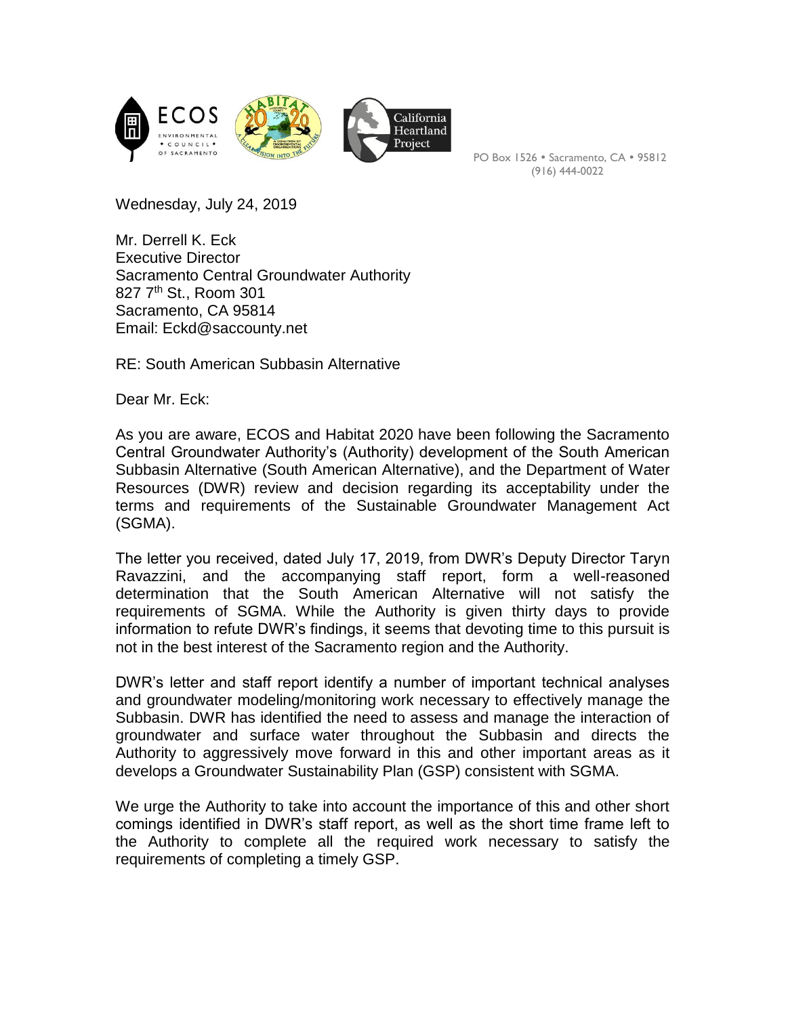

PO Box 1526 · Sacramento, CA · 95812 (916) 444-0022

Wednesday, July 24, 2019

Mr. Derrell K. Eck Executive Director Sacramento Central Groundwater Authority 827 7th St., Room 301 Sacramento, CA 95814 Email: Eckd@saccounty.net

RE: South American Subbasin Alternative

Dear Mr. Eck:

As you are aware, ECOS and Habitat 2020 have been following the Sacramento Central Groundwater Authority's (Authority) development of the South American Subbasin Alternative (South American Alternative), and the Department of Water Resources (DWR) review and decision regarding its acceptability under the terms and requirements of the Sustainable Groundwater Management Act (SGMA).

The letter you received, dated July 17, 2019, from DWR's Deputy Director Taryn Ravazzini, and the accompanying staff report, form a well-reasoned determination that the South American Alternative will not satisfy the requirements of SGMA. While the Authority is given thirty days to provide information to refute DWR's findings, it seems that devoting time to this pursuit is not in the best interest of the Sacramento region and the Authority.

DWR's letter and staff report identify a number of important technical analyses and groundwater modeling/monitoring work necessary to effectively manage the Subbasin. DWR has identified the need to assess and manage the interaction of groundwater and surface water throughout the Subbasin and directs the Authority to aggressively move forward in this and other important areas as it develops a Groundwater Sustainability Plan (GSP) consistent with SGMA.

We urge the Authority to take into account the importance of this and other short comings identified in DWR's staff report, as well as the short time frame left to the Authority to complete all the required work necessary to satisfy the requirements of completing a timely GSP.